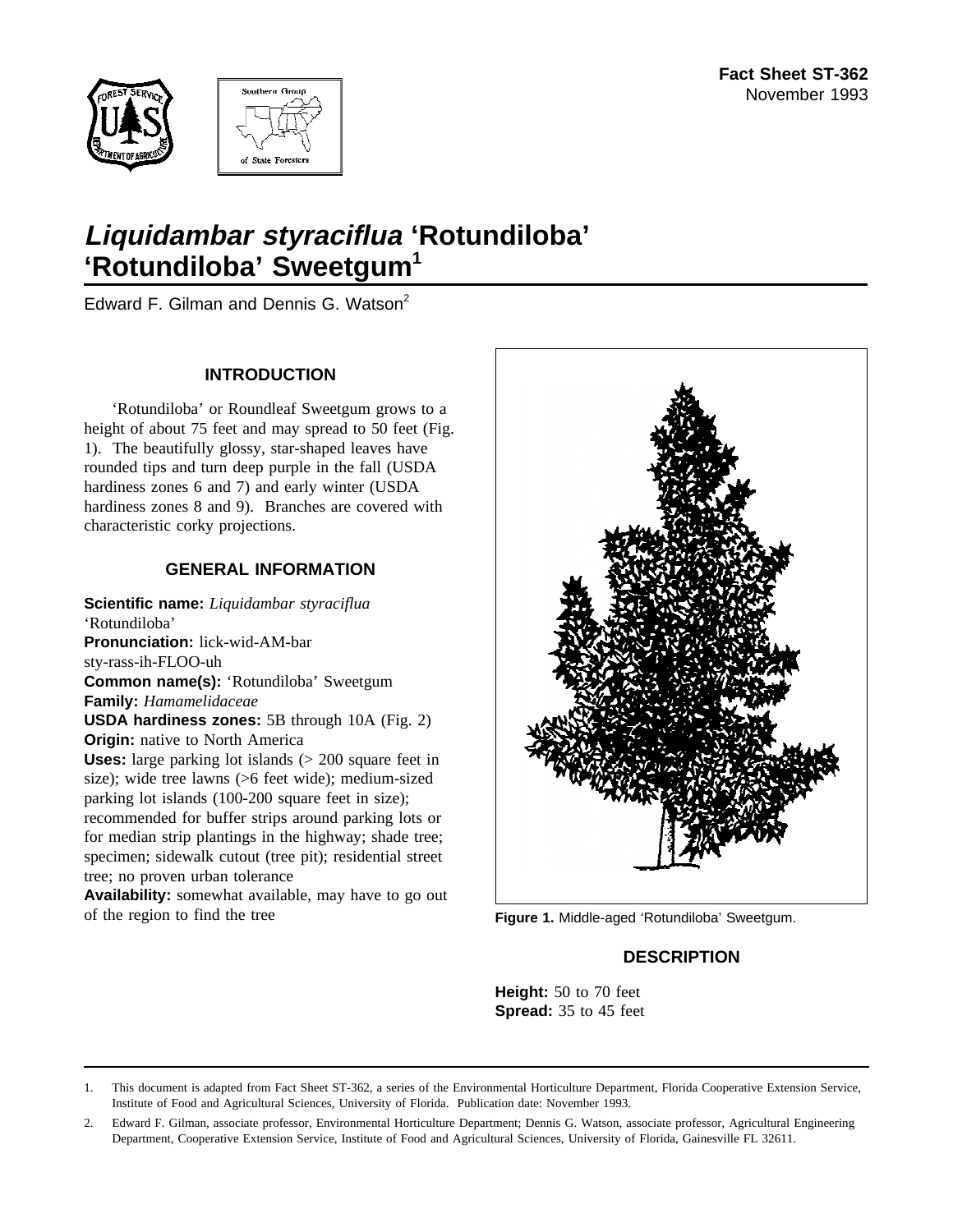



# **Liquidambar styraciflua 'Rotundiloba' 'Rotundiloba' Sweetgum<sup>1</sup>**

Edward F. Gilman and Dennis G. Watson<sup>2</sup>

## **INTRODUCTION**

'Rotundiloba' or Roundleaf Sweetgum grows to a height of about 75 feet and may spread to 50 feet (Fig. 1). The beautifully glossy, star-shaped leaves have rounded tips and turn deep purple in the fall (USDA hardiness zones 6 and 7) and early winter (USDA hardiness zones 8 and 9). Branches are covered with characteristic corky projections.

## **GENERAL INFORMATION**

**Scientific name:** *Liquidambar styraciflua* 'Rotundiloba' **Pronunciation:** lick-wid-AM-bar sty-rass-ih-FLOO-uh **Common name(s):** 'Rotundiloba' Sweetgum **Family:** *Hamamelidaceae* **USDA hardiness zones:** 5B through 10A (Fig. 2) **Origin:** native to North America **Uses:** large parking lot islands (> 200 square feet in size); wide tree lawns (>6 feet wide); medium-sized parking lot islands (100-200 square feet in size); recommended for buffer strips around parking lots or for median strip plantings in the highway; shade tree; specimen; sidewalk cutout (tree pit); residential street tree; no proven urban tolerance

**Availability:** somewhat available, may have to go out of the region to find the tree



**Figure 1.** Middle-aged 'Rotundiloba' Sweetgum.

# **DESCRIPTION**

**Height:** 50 to 70 feet **Spread:** 35 to 45 feet

<sup>1.</sup> This document is adapted from Fact Sheet ST-362, a series of the Environmental Horticulture Department, Florida Cooperative Extension Service, Institute of Food and Agricultural Sciences, University of Florida. Publication date: November 1993.

<sup>2.</sup> Edward F. Gilman, associate professor, Environmental Horticulture Department; Dennis G. Watson, associate professor, Agricultural Engineering Department, Cooperative Extension Service, Institute of Food and Agricultural Sciences, University of Florida, Gainesville FL 32611.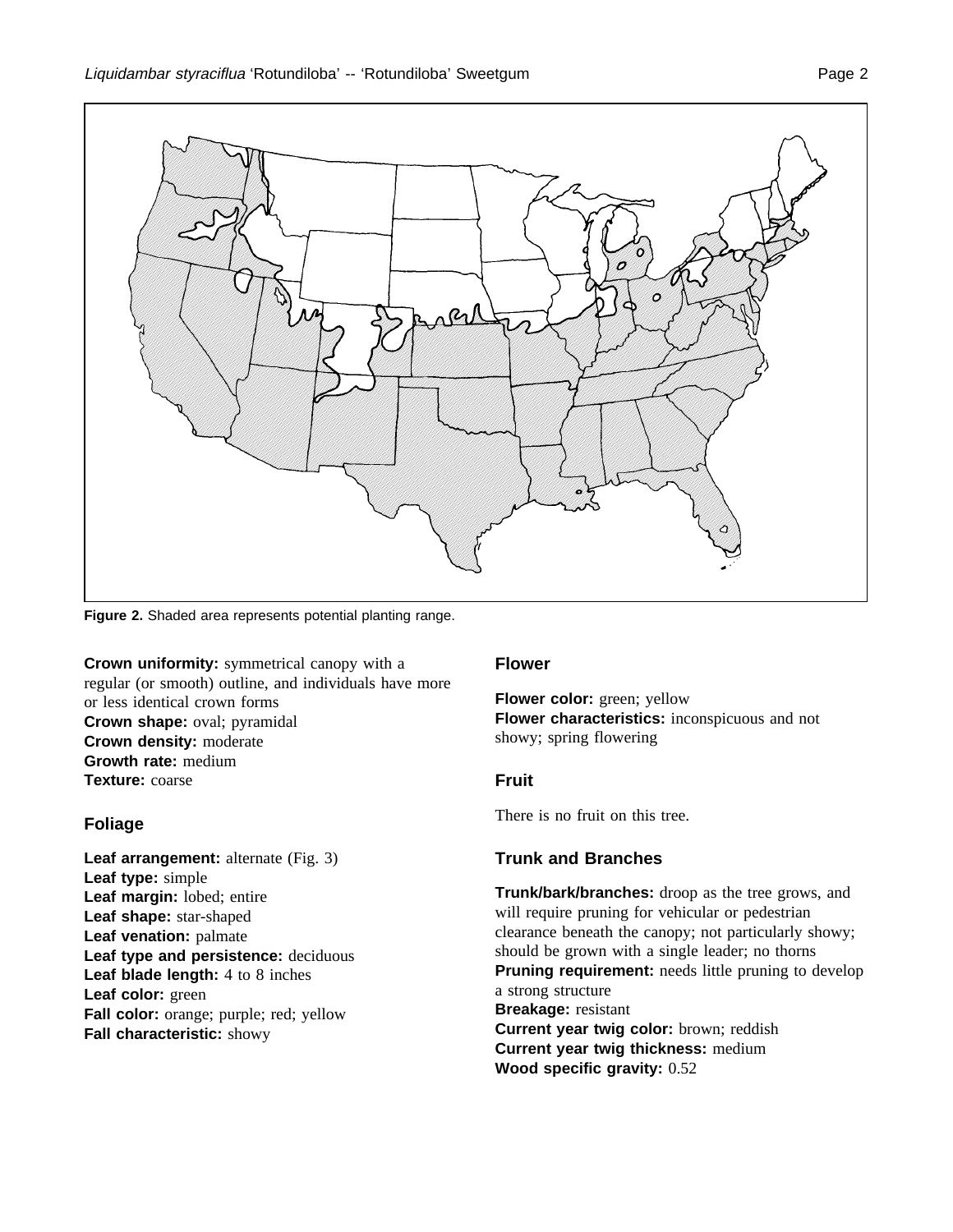

**Figure 2.** Shaded area represents potential planting range.

**Crown uniformity:** symmetrical canopy with a regular (or smooth) outline, and individuals have more or less identical crown forms **Crown shape:** oval; pyramidal **Crown density:** moderate **Growth rate:** medium **Texture:** coarse

#### **Foliage**

Leaf arrangement: alternate (Fig. 3) **Leaf type:** simple **Leaf margin:** lobed; entire **Leaf shape:** star-shaped **Leaf venation:** palmate **Leaf type and persistence:** deciduous **Leaf blade length:** 4 to 8 inches **Leaf color:** green **Fall color:** orange; purple; red; yellow **Fall characteristic:** showy

#### **Flower**

**Flower color:** green; yellow **Flower characteristics:** inconspicuous and not showy; spring flowering

#### **Fruit**

There is no fruit on this tree.

#### **Trunk and Branches**

**Trunk/bark/branches:** droop as the tree grows, and will require pruning for vehicular or pedestrian clearance beneath the canopy; not particularly showy; should be grown with a single leader; no thorns **Pruning requirement:** needs little pruning to develop a strong structure **Breakage:** resistant **Current year twig color:** brown; reddish **Current year twig thickness:** medium **Wood specific gravity:** 0.52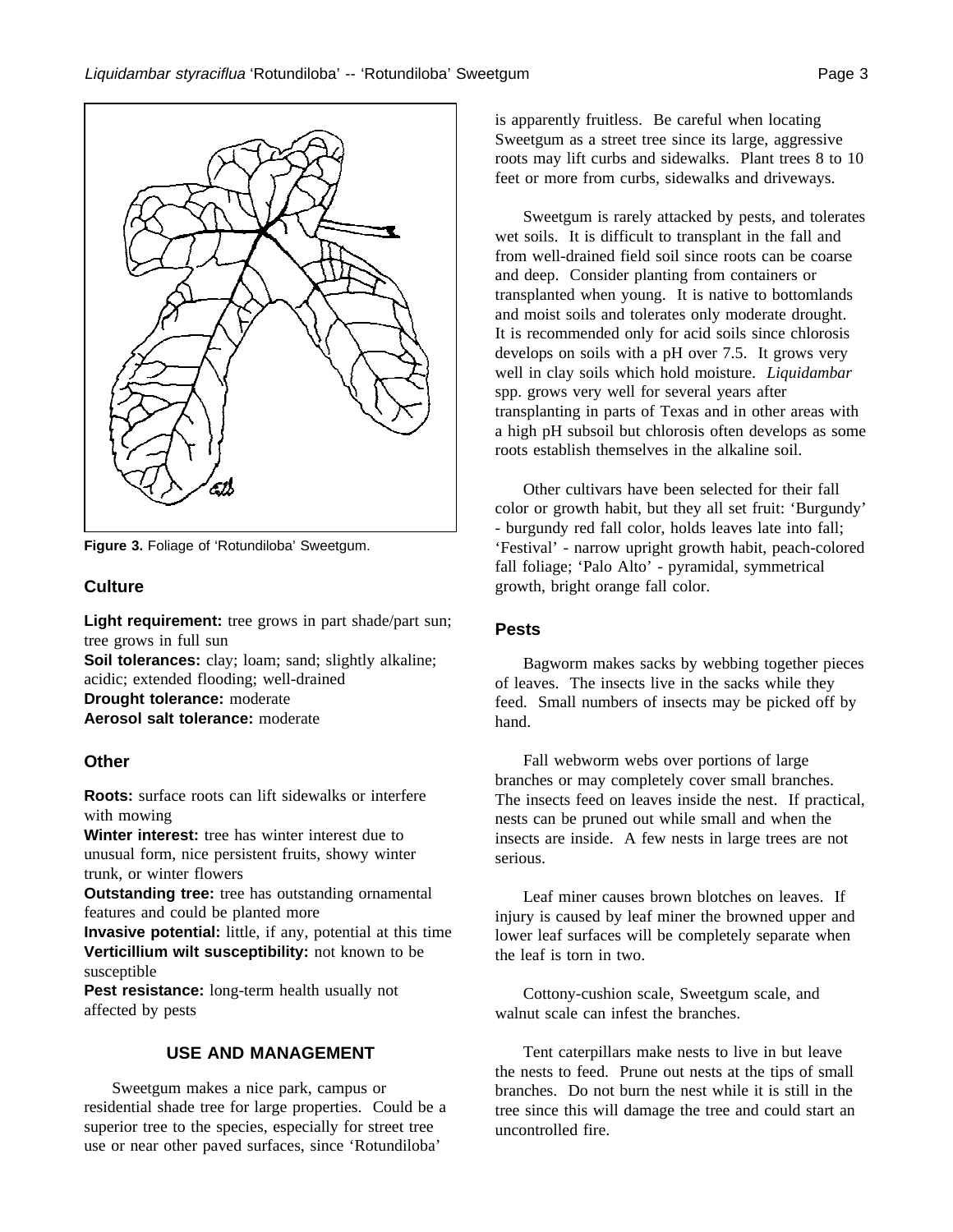

**Figure 3.** Foliage of 'Rotundiloba' Sweetgum.

## **Culture**

Light requirement: tree grows in part shade/part sun; tree grows in full sun

**Soil tolerances:** clay; loam; sand; slightly alkaline; acidic; extended flooding; well-drained **Drought tolerance:** moderate **Aerosol salt tolerance:** moderate

## **Other**

**Roots:** surface roots can lift sidewalks or interfere with mowing

**Winter interest:** tree has winter interest due to unusual form, nice persistent fruits, showy winter trunk, or winter flowers

**Outstanding tree:** tree has outstanding ornamental features and could be planted more

**Invasive potential:** little, if any, potential at this time **Verticillium wilt susceptibility:** not known to be susceptible

Pest resistance: long-term health usually not affected by pests

## **USE AND MANAGEMENT**

Sweetgum makes a nice park, campus or residential shade tree for large properties. Could be a superior tree to the species, especially for street tree use or near other paved surfaces, since 'Rotundiloba'

is apparently fruitless. Be careful when locating Sweetgum as a street tree since its large, aggressive roots may lift curbs and sidewalks. Plant trees 8 to 10 feet or more from curbs, sidewalks and driveways.

Sweetgum is rarely attacked by pests, and tolerates wet soils. It is difficult to transplant in the fall and from well-drained field soil since roots can be coarse and deep. Consider planting from containers or transplanted when young. It is native to bottomlands and moist soils and tolerates only moderate drought. It is recommended only for acid soils since chlorosis develops on soils with a pH over 7.5. It grows very well in clay soils which hold moisture. *Liquidambar* spp. grows very well for several years after transplanting in parts of Texas and in other areas with a high pH subsoil but chlorosis often develops as some roots establish themselves in the alkaline soil.

Other cultivars have been selected for their fall color or growth habit, but they all set fruit: 'Burgundy' - burgundy red fall color, holds leaves late into fall; 'Festival' - narrow upright growth habit, peach-colored fall foliage; 'Palo Alto' - pyramidal, symmetrical growth, bright orange fall color.

#### **Pests**

Bagworm makes sacks by webbing together pieces of leaves. The insects live in the sacks while they feed. Small numbers of insects may be picked off by hand.

Fall webworm webs over portions of large branches or may completely cover small branches. The insects feed on leaves inside the nest. If practical, nests can be pruned out while small and when the insects are inside. A few nests in large trees are not serious.

Leaf miner causes brown blotches on leaves. If injury is caused by leaf miner the browned upper and lower leaf surfaces will be completely separate when the leaf is torn in two.

Cottony-cushion scale, Sweetgum scale, and walnut scale can infest the branches.

Tent caterpillars make nests to live in but leave the nests to feed. Prune out nests at the tips of small branches. Do not burn the nest while it is still in the tree since this will damage the tree and could start an uncontrolled fire.